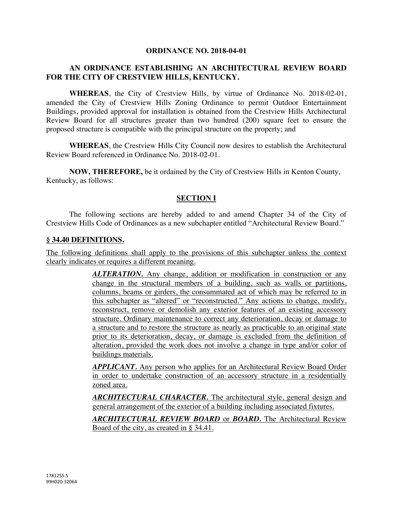#### **ORDINANCE NO. 2018-04-01**

### **AN ORDINANCE ESTABLISHING AN ARCHITECTURAL REVIEW BOARD FOR THE CITY OF CRESTVIEW HILLS, KENTUCKY.**

**WHEREAS**, the City of Crestview Hills, by virtue of Ordinance No. 2018-02-01, amended the City of Crestview Hills Zoning Ordinance to permit Outdoor Entertainment Buildings, provided approval for installation is obtained from the Crestview Hills Architectural Review Board for all structures greater than two hundred (200) square feet to ensure the proposed structure is compatible with the principal structure on the property; and

**WHEREAS**, the Crestview Hills City Council now desires to establish the Architectural Review Board referenced in Ordinance No. 2018-02-01.

**NOW, THEREFORE,** be it ordained by the City of Crestview Hills in Kenton County, Kentucky, as follows:

### **SECTION I**

The following sections are hereby added to and amend Chapter 34 of the City of Crestview Hills Code of Ordinances as a new subchapter entitled "Architectural Review Board."

#### **§ 34.40 DEFINITIONS.**

The following definitions shall apply to the provisions of this subchapter unless the context clearly indicates or requires a different meaning.

> **ALTERATION.** Any change, addition or modification in construction or any change in the structural members of a building, such as walls or partitions, columns, beams or girders, the consummated act of which may be referred to in this subchapter as "altered" or "reconstructed." Any actions to change, modify, reconstruct, remove or demolish any exterior features of an existing accessory structure. Ordinary maintenance to correct any deterioration, decay or damage to a structure and to restore the structure as nearly as practicable to an original state prior to its deterioration, decay, or damage is excluded from the definition of alteration, provided the work does not involve a change in type and/or color of buildings materials.

> *APPLICANT.* Any person who applies for an Architectural Review Board Order in order to undertake construction of an accessory structure in a residentially zoned area.

> *ARCHITECTURAL CHARACTER.* The architectural style, general design and general arrangement of the exterior of a building including associated fixtures.

> *ARCHITECTURAL REVIEW BOARD* or *BOARD.* The Architectural Review Board of the city, as created in § 34.41.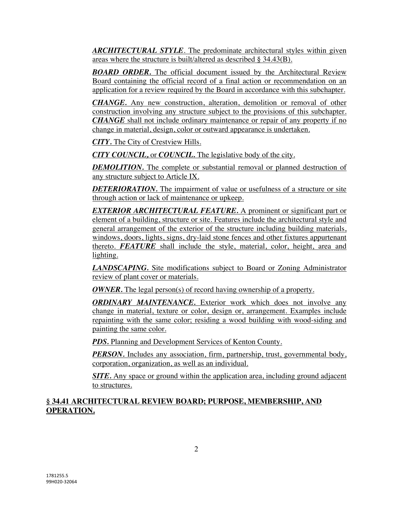*ARCHITECTURAL STYLE*. The predominate architectural styles within given areas where the structure is built/altered as described § 34.43(B).

*BOARD ORDER.* The official document issued by the Architectural Review Board containing the official record of a final action or recommendation on an application for a review required by the Board in accordance with this subchapter.

*CHANGE.* Any new construction, alteration, demolition or removal of other construction involving any structure subject to the provisions of this subchapter. *CHANGE* shall not include ordinary maintenance or repair of any property if no change in material, design, color or outward appearance is undertaken.

*CITY.* The City of Crestview Hills.

*CITY COUNCIL,* or *COUNCIL.* The legislative body of the city.

*DEMOLITION*. The complete or substantial removal or planned destruction of any structure subject to Article IX.

*DETERIORATION*. The impairment of value or usefulness of a structure or site through action or lack of maintenance or upkeep.

*EXTERIOR ARCHITECTURAL FEATURE.* A prominent or significant part or element of a building, structure or site. Features include the architectural style and general arrangement of the exterior of the structure including building materials, windows, doors, lights, signs, dry-laid stone fences and other fixtures appurtenant thereto. *FEATURE* shall include the style, material, color, height, area and lighting.

*LANDSCAPING.* Site modifications subject to Board or Zoning Administrator review of plant cover or materials.

*OWNER*. The legal person(s) of record having ownership of a property.

*ORDINARY MAINTENANCE.* Exterior work which does not involve any change in material, texture or color, design or, arrangement. Examples include repainting with the same color; residing a wood building with wood-siding and painting the same color.

**PDS.** Planning and Development Services of Kenton County.

*PERSON*. Includes any association, firm, partnership, trust, governmental body, corporation, organization, as well as an individual.

*SITE.* Any space or ground within the application area, including ground adjacent to structures.

#### **§ 34.41 ARCHITECTURAL REVIEW BOARD; PURPOSE, MEMBERSHIP, AND OPERATION.**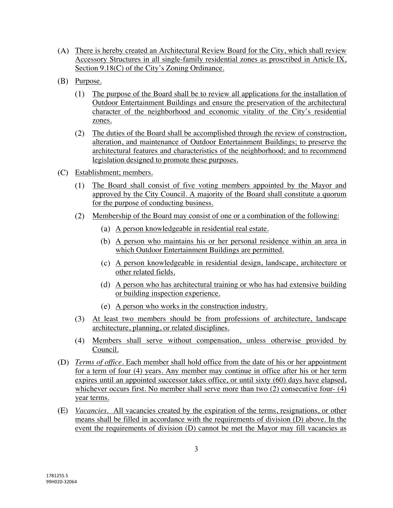- There is hereby created an Architectural Review Board for the City, which shall review Accessory Structures in all single-family residential zones as proscribed in Article IX, Section 9.18(C) of the City's Zoning Ordinance.
- (B) Purpose.
	- The purpose of the Board shall be to review all applications for the installation of Outdoor Entertainment Buildings and ensure the preservation of the architectural character of the neighborhood and economic vitality of the City's residential zones.
	- The duties of the Board shall be accomplished through the review of construction, alteration, and maintenance of Outdoor Entertainment Buildings; to preserve the architectural features and characteristics of the neighborhood; and to recommend legislation designed to promote these purposes.
- Establishment; members.
	- The Board shall consist of five voting members appointed by the Mayor and  $(1)$ approved by the City Council. A majority of the Board shall constitute a quorum for the purpose of conducting business.
	- Membership of the Board may consist of one or a combination of the following:
		- A person knowledgeable in residential real estate.
		- A person who maintains his or her personal residence within an area in which Outdoor Entertainment Buildings are permitted.
		- A person knowledgeable in residential design, landscape, architecture or other related fields.
		- A person who has architectural training or who has had extensive building or building inspection experience.
		- (e) A person who works in the construction industry.
	- At least two members should be from professions of architecture, landscape architecture, planning, or related disciplines.
	- Members shall serve without compensation, unless otherwise provided by Council.
- *Terms of office.* Each member shall hold office from the date of his or her appointment for a term of four (4) years. Any member may continue in office after his or her term expires until an appointed successor takes office, or until sixty (60) days have elapsed, whichever occurs first. No member shall serve more than two (2) consecutive four- (4) year terms.
- *Vacancies.* All vacancies created by the expiration of the terms, resignations, or other means shall be filled in accordance with the requirements of division (D) above. In the event the requirements of division (D) cannot be met the Mayor may fill vacancies as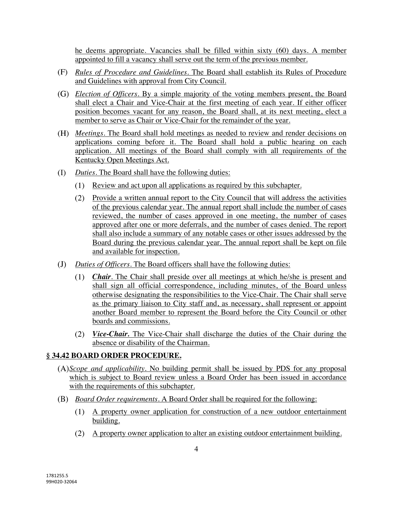he deems appropriate. Vacancies shall be filled within sixty (60) days. A member appointed to fill a vacancy shall serve out the term of the previous member.

- *Rules of Procedure and Guidelines.* The Board shall establish its Rules of Procedure and Guidelines with approval from City Council.
- *Election of Officers.* By a simple majority of the voting members present, the Board shall elect a Chair and Vice-Chair at the first meeting of each year. If either officer position becomes vacant for any reason, the Board shall, at its next meeting, elect a member to serve as Chair or Vice-Chair for the remainder of the year.
- *Meetings.* The Board shall hold meetings as needed to review and render decisions on applications coming before it. The Board shall hold a public hearing on each application. All meetings of the Board shall comply with all requirements of the Kentucky Open Meetings Act.
- $(I)$ *Duties.* The Board shall have the following duties:
	- Review and act upon all applications as required by this subchapter.
	- Provide a written annual report to the City Council that will address the activities of the previous calendar year. The annual report shall include the number of cases reviewed, the number of cases approved in one meeting, the number of cases approved after one or more deferrals, and the number of cases denied. The report shall also include a summary of any notable cases or other issues addressed by the Board during the previous calendar year. The annual report shall be kept on file and available for inspection.
- $(J)$ *Duties of Officers.* The Board officers shall have the following duties:
	- *Chair.* The Chair shall preside over all meetings at which he/she is present and shall sign all official correspondence, including minutes, of the Board unless otherwise designating the responsibilities to the Vice-Chair. The Chair shall serve as the primary liaison to City staff and, as necessary, shall represent or appoint another Board member to represent the Board before the City Council or other boards and commissions.
	- *Vice-Chair.* The Vice-Chair shall discharge the duties of the Chair during the absence or disability of the Chairman.

# **§ 34.42 BOARD ORDER PROCEDURE.**

- *Scope and applicability.* No building permit shall be issued by PDS for any proposal which is subject to Board review unless a Board Order has been issued in accordance with the requirements of this subchapter.
- *Board Order requirements.* A Board Order shall be required for the following:
	- A property owner application for construction of a new outdoor entertainment building.
	- A property owner application to alter an existing outdoor entertainment building.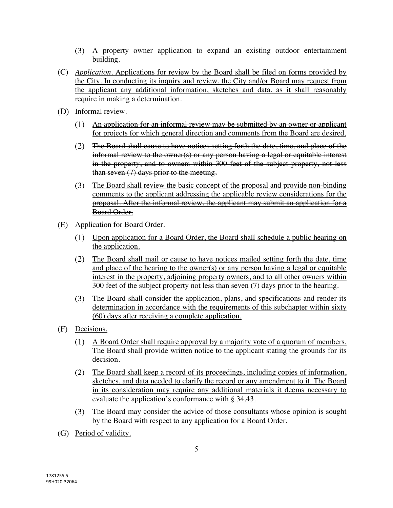- A property owner application to expand an existing outdoor entertainment building.
- *Application.* Applications for review by the Board shall be filed on forms provided by the City. In conducting its inquiry and review, the City and/or Board may request from the applicant any additional information, sketches and data, as it shall reasonably require in making a determination.
- (D) Informal review.
	- $(1)$  An application for an informal review may be submitted by an owner or applicant for projects for which general direction and comments from the Board are desired.
	- The Board shall cause to have notices setting forth the date, time, and place of the  $(2)$ informal review to the owner(s) or any person having a legal or equitable interest in the property, and to owners within 300 feet of the subject property, not less than seven  $(7)$  days prior to the meeting.
	- The Board shall review the basic concept of the proposal and provide non-binding comments to the applicant addressing the applicable review considerations for the proposal. After the informal review, the applicant may submit an application for a Board Order.
- Application for Board Order.
	- Upon application for a Board Order, the Board shall schedule a public hearing on the application.
	- $(2)$ The Board shall mail or cause to have notices mailed setting forth the date, time and place of the hearing to the owner(s) or any person having a legal or equitable interest in the property, adjoining property owners, and to all other owners within 300 feet of the subject property not less than seven (7) days prior to the hearing.
	- The Board shall consider the application, plans, and specifications and render its determination in accordance with the requirements of this subchapter within sixty (60) days after receiving a complete application.
- Decisions.
	- A Board Order shall require approval by a majority vote of a quorum of members. The Board shall provide written notice to the applicant stating the grounds for its decision.
	- The Board shall keep a record of its proceedings, including copies of information, sketches, and data needed to clarify the record or any amendment to it. The Board in its consideration may require any additional materials it deems necessary to evaluate the application's conformance with § 34.43.
	- The Board may consider the advice of those consultants whose opinion is sought by the Board with respect to any application for a Board Order.
- (G) Period of validity.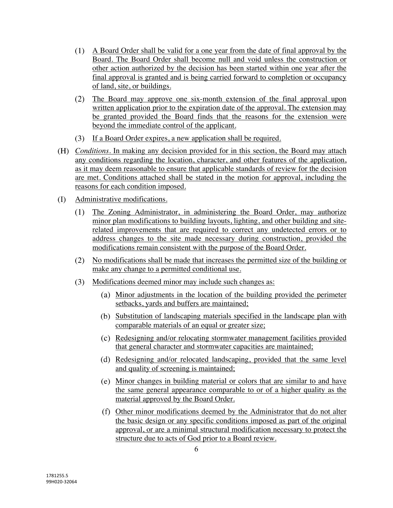- A Board Order shall be valid for a one year from the date of final approval by the Board. The Board Order shall become null and void unless the construction or other action authorized by the decision has been started within one year after the final approval is granted and is being carried forward to completion or occupancy of land, site, or buildings.
- The Board may approve one six-month extension of the final approval upon written application prior to the expiration date of the approval. The extension may be granted provided the Board finds that the reasons for the extension were beyond the immediate control of the applicant.
- If a Board Order expires, a new application shall be required.
- *Conditions.* In making any decision provided for in this section, the Board may attach any conditions regarding the location, character, and other features of the application, as it may deem reasonable to ensure that applicable standards of review for the decision are met. Conditions attached shall be stated in the motion for approval, including the reasons for each condition imposed.
- (I) Administrative modifications.
	- $(1)$ The Zoning Administrator, in administering the Board Order, may authorize minor plan modifications to building layouts, lighting, and other building and siterelated improvements that are required to correct any undetected errors or to address changes to the site made necessary during construction, provided the modifications remain consistent with the purpose of the Board Order.
	- No modifications shall be made that increases the permitted size of the building or make any change to a permitted conditional use.
	- (3) Modifications deemed minor may include such changes as:
		- Minor adjustments in the location of the building provided the perimeter setbacks, yards and buffers are maintained;
		- (b) Substitution of landscaping materials specified in the landscape plan with comparable materials of an equal or greater size;
		- Redesigning and/or relocating stormwater management facilities provided that general character and stormwater capacities are maintained;
		- (d) Redesigning and/or relocated landscaping, provided that the same level and quality of screening is maintained;
		- Minor changes in building material or colors that are similar to and have the same general appearance comparable to or of a higher quality as the material approved by the Board Order.
		- Other minor modifications deemed by the Administrator that do not alter the basic design or any specific conditions imposed as part of the original approval, or are a minimal structural modification necessary to protect the structure due to acts of God prior to a Board review.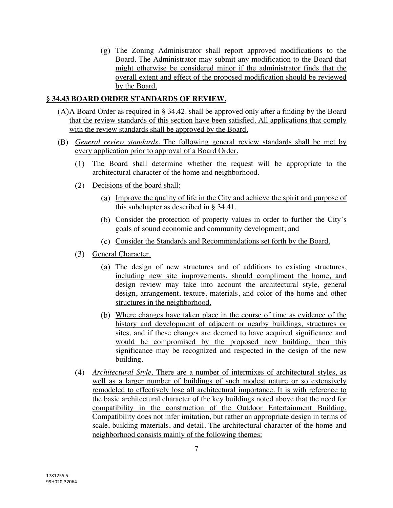$(g)$  The Zoning Administrator shall report approved modifications to the Board. The Administrator may submit any modification to the Board that might otherwise be considered minor if the administrator finds that the overall extent and effect of the proposed modification should be reviewed by the Board.

## **§ 34.43 BOARD ORDER STANDARDS OF REVIEW.**

- $(A)$  Board Order as required in § 34.42. shall be approved only after a finding by the Board that the review standards of this section have been satisfied. All applications that comply with the review standards shall be approved by the Board.
- *General review standards.* The following general review standards shall be met by every application prior to approval of a Board Order.
	- The Board shall determine whether the request will be appropriate to the  $(1)$ architectural character of the home and neighborhood.
	- Decisions of the board shall:
		- Improve the quality of life in the City and achieve the spirit and purpose of this subchapter as described in § 34.41.
		- Consider the protection of property values in order to further the City's goals of sound economic and community development; and
		- Consider the Standards and Recommendations set forth by the Board.
	- (3) General Character.
		- (a) The design of new structures and of additions to existing structures, including new site improvements, should compliment the home, and design review may take into account the architectural style, general design, arrangement, texture, materials, and color of the home and other structures in the neighborhood.
		- Where changes have taken place in the course of time as evidence of the history and development of adjacent or nearby buildings, structures or sites, and if these changes are deemed to have acquired significance and would be compromised by the proposed new building, then this significance may be recognized and respected in the design of the new building.
	- *Architectural Style.* There are a number of intermixes of architectural styles, as well as a larger number of buildings of such modest nature or so extensively remodeled to effectively lose all architectural importance. It is with reference to the basic architectural character of the key buildings noted above that the need for compatibility in the construction of the Outdoor Entertainment Building. Compatibility does not infer imitation, but rather an appropriate design in terms of scale, building materials, and detail. The architectural character of the home and neighborhood consists mainly of the following themes: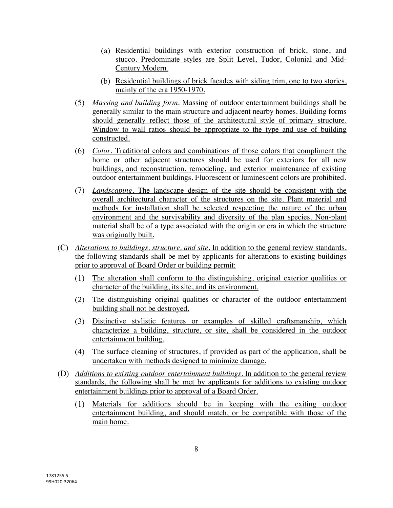- Residential buildings with exterior construction of brick, stone, and stucco. Predominate styles are Split Level, Tudor, Colonial and Mid-Century Modern.
- Residential buildings of brick facades with siding trim, one to two stories, mainly of the era 1950-1970.
- *Massing and building form.* Massing of outdoor entertainment buildings shall be generally similar to the main structure and adjacent nearby homes. Building forms should generally reflect those of the architectural style of primary structure. Window to wall ratios should be appropriate to the type and use of building constructed.
- *Color.* Traditional colors and combinations of those colors that compliment the home or other adjacent structures should be used for exteriors for all new buildings, and reconstruction, remodeling, and exterior maintenance of existing outdoor entertainment buildings. Fluorescent or luminescent colors are prohibited.
- *Landscaping.* The landscape design of the site should be consistent with the overall architectural character of the structures on the site. Plant material and methods for installation shall be selected respecting the nature of the urban environment and the survivability and diversity of the plan species. Non-plant material shall be of a type associated with the origin or era in which the structure was originally built.
- *Alterations to buildings, structure, and site.* In addition to the general review standards, the following standards shall be met by applicants for alterations to existing buildings prior to approval of Board Order or building permit:
	- The alteration shall conform to the distinguishing, original exterior qualities or character of the building, its site, and its environment.
	- The distinguishing original qualities or character of the outdoor entertainment  $(2)$ building shall not be destroyed.
	- Distinctive stylistic features or examples of skilled craftsmanship, which characterize a building, structure, or site, shall be considered in the outdoor entertainment building.
	- The surface cleaning of structures, if provided as part of the application, shall be undertaken with methods designed to minimize damage.
- *Additions to existing outdoor entertainment buildings.* In addition to the general review standards, the following shall be met by applicants for additions to existing outdoor entertainment buildings prior to approval of a Board Order.
	- Materials for additions should be in keeping with the exiting outdoor  $(1)$ entertainment building, and should match, or be compatible with those of the main home.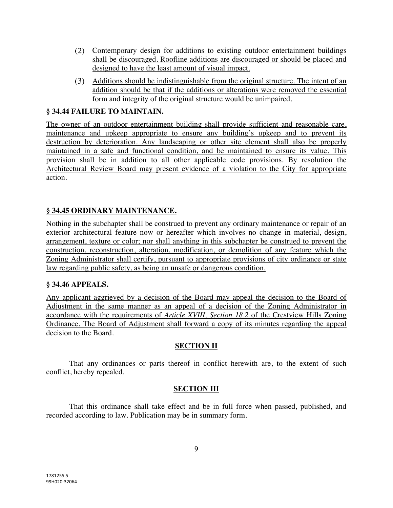- Contemporary design for additions to existing outdoor entertainment buildings shall be discouraged. Roofline additions are discouraged or should be placed and designed to have the least amount of visual impact.
- Additions should be indistinguishable from the original structure. The intent of an addition should be that if the additions or alterations were removed the essential form and integrity of the original structure would be unimpaired.

# **§ 34.44 FAILURE TO MAINTAIN.**

The owner of an outdoor entertainment building shall provide sufficient and reasonable care, maintenance and upkeep appropriate to ensure any building's upkeep and to prevent its destruction by deterioration. Any landscaping or other site element shall also be properly maintained in a safe and functional condition, and be maintained to ensure its value. This provision shall be in addition to all other applicable code provisions. By resolution the Architectural Review Board may present evidence of a violation to the City for appropriate action.

## **§ 34.45 ORDINARY MAINTENANCE.**

Nothing in the subchapter shall be construed to prevent any ordinary maintenance or repair of an exterior architectural feature now or hereafter which involves no change in material, design, arrangement, texture or color; nor shall anything in this subchapter be construed to prevent the construction, reconstruction, alteration, modification, or demolition of any feature which the Zoning Administrator shall certify, pursuant to appropriate provisions of city ordinance or state law regarding public safety, as being an unsafe or dangerous condition.

## **§ 34.46 APPEALS.**

Any applicant aggrieved by a decision of the Board may appeal the decision to the Board of Adjustment in the same manner as an appeal of a decision of the Zoning Administrator in accordance with the requirements of *Article XVIII, Section 18.2* of the Crestview Hills Zoning Ordinance. The Board of Adjustment shall forward a copy of its minutes regarding the appeal decision to the Board.

## **SECTION II**

That any ordinances or parts thereof in conflict herewith are, to the extent of such conflict, hereby repealed.

## **SECTION III**

That this ordinance shall take effect and be in full force when passed, published, and recorded according to law. Publication may be in summary form.